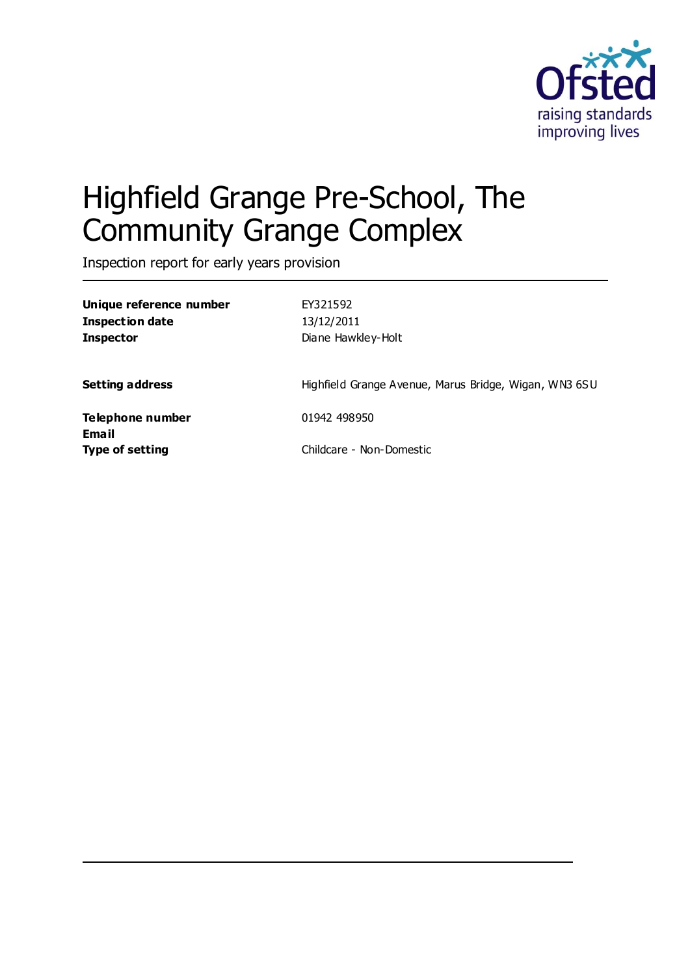

# Highfield Grange Pre-School, The Community Grange Complex

Inspection report for early years provision

| Unique reference number          | EY321592                                              |
|----------------------------------|-------------------------------------------------------|
| <b>Inspection date</b>           | 13/12/2011                                            |
| <b>Inspector</b>                 | Diane Hawkley-Holt                                    |
| <b>Setting address</b>           | Highfield Grange Avenue, Marus Bridge, Wigan, WN3 6SU |
| Telephone number<br><b>Email</b> | 01942 498950                                          |
| <b>Type of setting</b>           | Childcare - Non-Domestic                              |
|                                  |                                                       |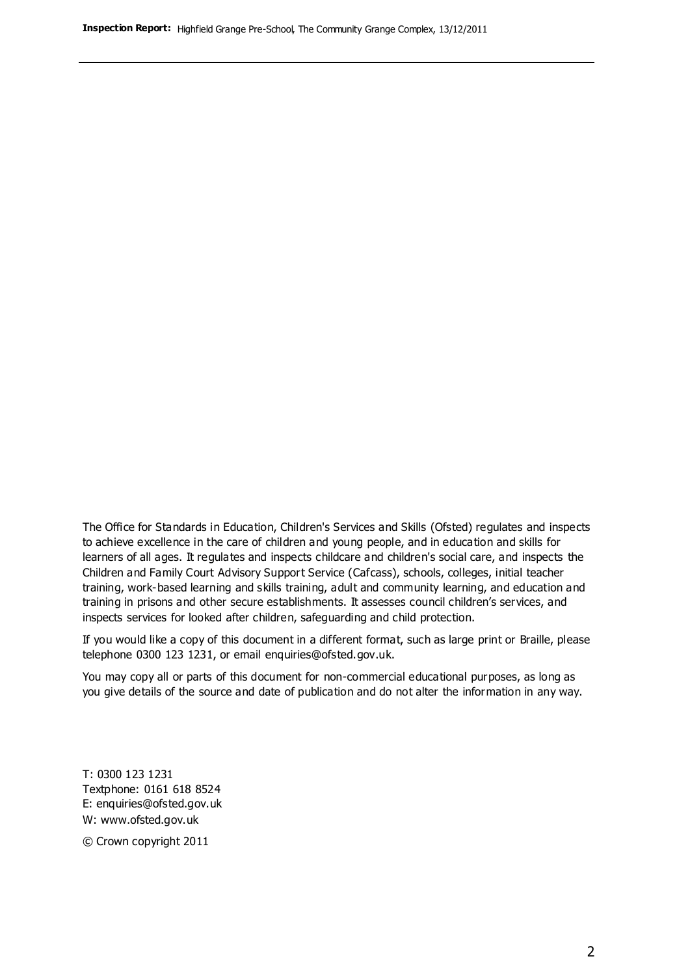The Office for Standards in Education, Children's Services and Skills (Ofsted) regulates and inspects to achieve excellence in the care of children and young people, and in education and skills for learners of all ages. It regulates and inspects childcare and children's social care, and inspects the Children and Family Court Advisory Support Service (Cafcass), schools, colleges, initial teacher training, work-based learning and skills training, adult and community learning, and education and training in prisons and other secure establishments. It assesses council children's services, and inspects services for looked after children, safeguarding and child protection.

If you would like a copy of this document in a different format, such as large print or Braille, please telephone 0300 123 1231, or email enquiries@ofsted.gov.uk.

You may copy all or parts of this document for non-commercial educational purposes, as long as you give details of the source and date of publication and do not alter the information in any way.

T: 0300 123 1231 Textphone: 0161 618 8524 E: enquiries@ofsted.gov.uk W: [www.ofsted.gov.uk](http://www.ofsted.gov.uk/)

© Crown copyright 2011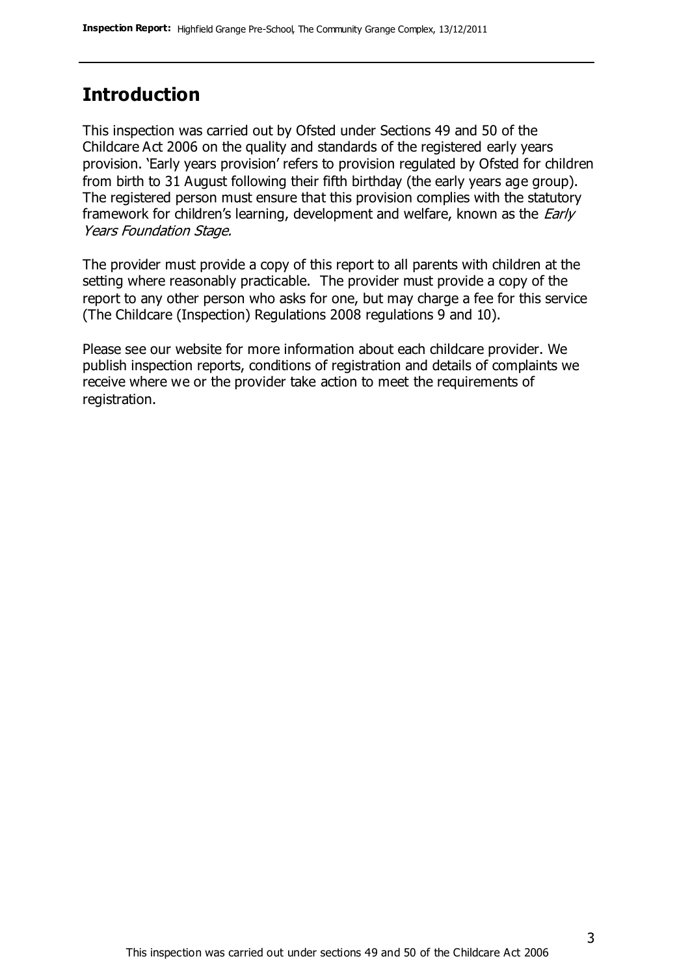# **Introduction**

This inspection was carried out by Ofsted under Sections 49 and 50 of the Childcare Act 2006 on the quality and standards of the registered early years provision. 'Early years provision' refers to provision regulated by Ofsted for children from birth to 31 August following their fifth birthday (the early years age group). The registered person must ensure that this provision complies with the statutory framework for children's learning, development and welfare, known as the *Early* Years Foundation Stage.

The provider must provide a copy of this report to all parents with children at the setting where reasonably practicable. The provider must provide a copy of the report to any other person who asks for one, but may charge a fee for this service (The Childcare (Inspection) Regulations 2008 regulations 9 and 10).

Please see our website for more information about each childcare provider. We publish inspection reports, conditions of registration and details of complaints we receive where we or the provider take action to meet the requirements of registration.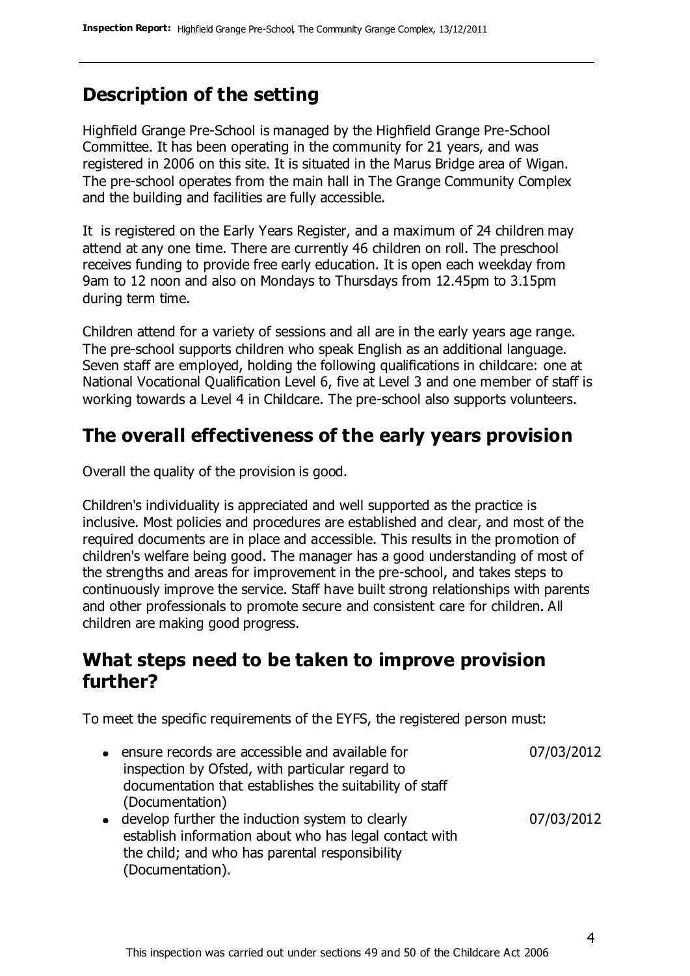## **Description of the setting**

Highfield Grange Pre-School is managed by the Highfield Grange Pre-School Committee. It has been operating in the community for 21 years, and was registered in 2006 on this site. It is situated in the Marus Bridge area of Wigan. The pre-school operates from the main hall in The Grange Community Complex and the building and facilities are fully accessible.

It is registered on the Early Years Register, and a maximum of 24 children may attend at any one time. There are currently 46 children on roll. The preschool receives funding to provide free early education. It is open each weekday from 9am to 12 noon and also on Mondays to Thursdays from 12.45pm to 3.15pm during term time.

Children attend for a variety of sessions and all are in the early years age range. The pre-school supports children who speak English as an additional language. Seven staff are employed, holding the following qualifications in childcare: one at National Vocational Qualification Level 6, five at Level 3 and one member of staff is working towards a Level 4 in Childcare. The pre-school also supports volunteers.

#### **The overall effectiveness of the early years provision**

Overall the quality of the provision is good.

Children's individuality is appreciated and well supported as the practice is inclusive. Most policies and procedures are established and clear, and most of the required documents are in place and accessible. This results in the promotion of children's welfare being good. The manager has a good understanding of most of the strengths and areas for improvement in the pre-school, and takes steps to continuously improve the service. Staff have built strong relationships with parents and other professionals to promote secure and consistent care for children. All children are making good progress.

#### **What steps need to be taken to improve provision further?**

To meet the specific requirements of the EYFS, the registered person must:

the child; and who has parental responsibility

(Documentation).

| • ensure records are accessible and available for       | 07/03/2012 |
|---------------------------------------------------------|------------|
| inspection by Ofsted, with particular regard to         |            |
| documentation that establishes the suitability of staff |            |
| (Documentation)                                         |            |
| • develop further the induction system to clearly       | 07/03/2012 |
| establish information about who has legal contact with  |            |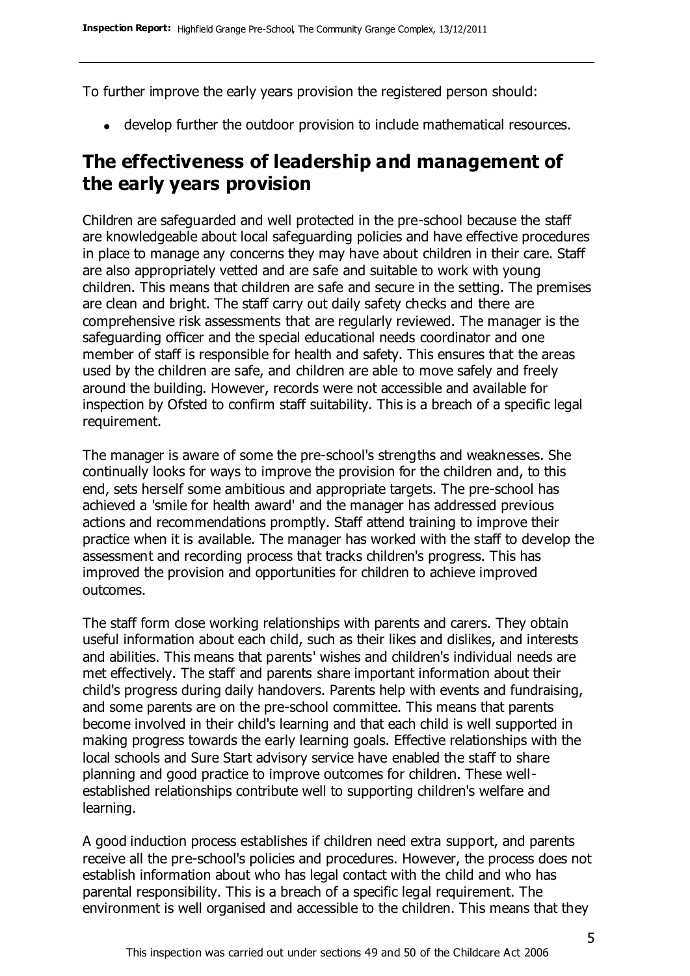To further improve the early years provision the registered person should:

develop further the outdoor provision to include mathematical resources.

# **The effectiveness of leadership and management of the early years provision**

Children are safeguarded and well protected in the pre-school because the staff are knowledgeable about local safeguarding policies and have effective procedures in place to manage any concerns they may have about children in their care. Staff are also appropriately vetted and are safe and suitable to work with young children. This means that children are safe and secure in the setting. The premises are clean and bright. The staff carry out daily safety checks and there are comprehensive risk assessments that are regularly reviewed. The manager is the safeguarding officer and the special educational needs coordinator and one member of staff is responsible for health and safety. This ensures that the areas used by the children are safe, and children are able to move safely and freely around the building. However, records were not accessible and available for inspection by Ofsted to confirm staff suitability. This is a breach of a specific legal requirement.

The manager is aware of some the pre-school's strengths and weaknesses. She continually looks for ways to improve the provision for the children and, to this end, sets herself some ambitious and appropriate targets. The pre-school has achieved a 'smile for health award' and the manager has addressed previous actions and recommendations promptly. Staff attend training to improve their practice when it is available. The manager has worked with the staff to develop the assessment and recording process that tracks children's progress. This has improved the provision and opportunities for children to achieve improved outcomes.

The staff form close working relationships with parents and carers. They obtain useful information about each child, such as their likes and dislikes, and interests and abilities. This means that parents' wishes and children's individual needs are met effectively. The staff and parents share important information about their child's progress during daily handovers. Parents help with events and fundraising, and some parents are on the pre-school committee. This means that parents become involved in their child's learning and that each child is well supported in making progress towards the early learning goals. Effective relationships with the local schools and Sure Start advisory service have enabled the staff to share planning and good practice to improve outcomes for children. These wellestablished relationships contribute well to supporting children's welfare and learning.

A good induction process establishes if children need extra support, and parents receive all the pre-school's policies and procedures. However, the process does not establish information about who has legal contact with the child and who has parental responsibility. This is a breach of a specific legal requirement. The environment is well organised and accessible to the children. This means that they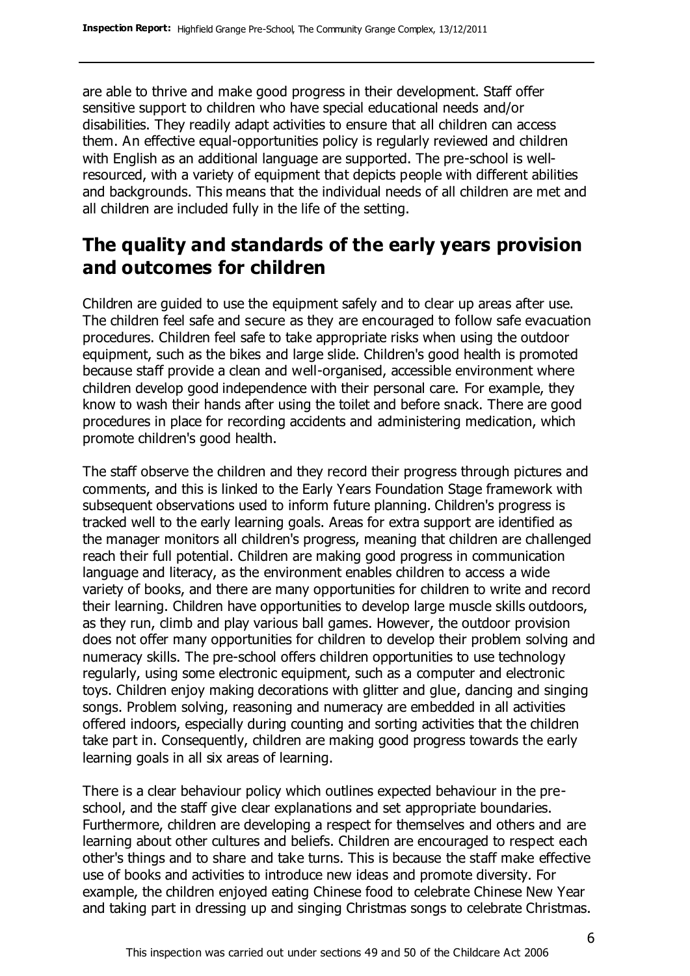are able to thrive and make good progress in their development. Staff offer sensitive support to children who have special educational needs and/or disabilities. They readily adapt activities to ensure that all children can access them. An effective equal-opportunities policy is regularly reviewed and children with English as an additional language are supported. The pre-school is wellresourced, with a variety of equipment that depicts people with different abilities and backgrounds. This means that the individual needs of all children are met and all children are included fully in the life of the setting.

# **The quality and standards of the early years provision and outcomes for children**

Children are guided to use the equipment safely and to clear up areas after use. The children feel safe and secure as they are encouraged to follow safe evacuation procedures. Children feel safe to take appropriate risks when using the outdoor equipment, such as the bikes and large slide. Children's good health is promoted because staff provide a clean and well-organised, accessible environment where children develop good independence with their personal care. For example, they know to wash their hands after using the toilet and before snack. There are good procedures in place for recording accidents and administering medication, which promote children's good health.

The staff observe the children and they record their progress through pictures and comments, and this is linked to the Early Years Foundation Stage framework with subsequent observations used to inform future planning. Children's progress is tracked well to the early learning goals. Areas for extra support are identified as the manager monitors all children's progress, meaning that children are challenged reach their full potential. Children are making good progress in communication language and literacy, as the environment enables children to access a wide variety of books, and there are many opportunities for children to write and record their learning. Children have opportunities to develop large muscle skills outdoors, as they run, climb and play various ball games. However, the outdoor provision does not offer many opportunities for children to develop their problem solving and numeracy skills. The pre-school offers children opportunities to use technology regularly, using some electronic equipment, such as a computer and electronic toys. Children enjoy making decorations with glitter and glue, dancing and singing songs. Problem solving, reasoning and numeracy are embedded in all activities offered indoors, especially during counting and sorting activities that the children take part in. Consequently, children are making good progress towards the early learning goals in all six areas of learning.

There is a clear behaviour policy which outlines expected behaviour in the preschool, and the staff give clear explanations and set appropriate boundaries. Furthermore, children are developing a respect for themselves and others and are learning about other cultures and beliefs. Children are encouraged to respect each other's things and to share and take turns. This is because the staff make effective use of books and activities to introduce new ideas and promote diversity. For example, the children enjoyed eating Chinese food to celebrate Chinese New Year and taking part in dressing up and singing Christmas songs to celebrate Christmas.